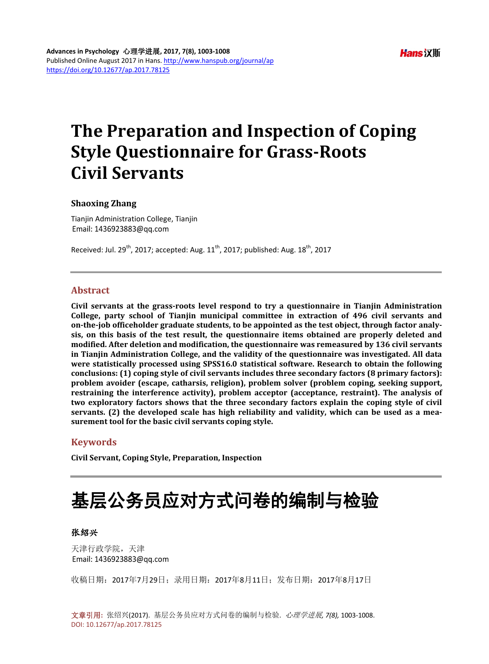## **The Preparation and Inspection of Coping Style Questionnaire for Grass-Roots Civil Servants**

#### **Shaoxing Zhang**

Tianjin Administration College, Tianjin Email: 1436923883@qq.com

Received: Jul. 29<sup>th</sup>, 2017; accepted: Aug. 11<sup>th</sup>, 2017; published: Aug. 18<sup>th</sup>, 2017

## **Abstract**

**Civil servants at the grass-roots level respond to try a questionnaire in Tianjin Administration College, party school of Tianjin municipal committee in extraction of 496 civil servants and on-the-job officeholder graduate students, to be appointed as the test object, through factor analysis, on this basis of the test result, the questionnaire items obtained are properly deleted and modified. After deletion and modification, the questionnaire was remeasured by 136 civil servants in Tianjin Administration College, and the validity of the questionnaire was investigated. All data were statistically processed using SPSS16.0 statistical software. Research to obtain the following conclusions: (1) coping style of civil servants includes three secondary factors (8 primary factors): problem avoider (escape, catharsis, religion), problem solver (problem coping, seeking support, restraining the interference activity), problem acceptor (acceptance, restraint). The analysis of two exploratory factors shows that the three secondary factors explain the coping style of civil servants. (2) the developed scale has high reliability and validity, which can be used as a measurement tool for the basic civil servants coping style.**

## **Keywords**

**Civil Servant, Coping Style, Preparation, Inspection**

# 基层公务员应对方式问卷的编制与检验

#### 张绍兴

天津行政学院,天津 Email: 1436923883@qq.com

收稿日期:2017年7月29日;录用日期:2017年8月11日;发布日期:2017年8月17日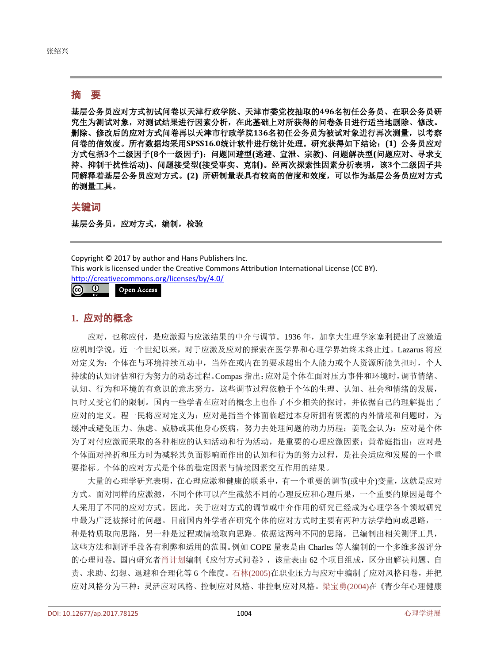## 摘 要

基层公务员应对方式初试问卷以天津行政学院、天津市委党校抽取的**496**名初任公务员、在职公务员研 究生为测试对象,对测试结果进行因素分析,在此基础上对所获得的问卷条目进行适当地删除、修改。 删除、修改后的应对方式问卷再以天津市行政学院**136**名初任公务员为被试对象进行再次测量,以考察 问卷的信效度。所有数据均采用**SPSS16.0**统计软件进行统计处理。研究获得如下结论:**(1)** 公务员应对 方式包括**3**个二级因子**(8**个一级因子**)**:问题回避型**(**逃避、宣泄、宗教**)**、问题解决型**(**问题应对、寻求支 持、抑制干扰性活动**)**、问题接受型**(**接受事实、克制**)**。经两次探索性因素分析表明,该**3**个二级因子共 同解释着基层公务员应对方式。**(2)** 所研制量表具有较高的信度和效度,可以作为基层公务员应对方式 的测量工具。

## 关键词

基层公务员,应对方式,编制,检验

Copyright © 2017 by author and Hans Publishers Inc. This work is licensed under the Creative Commons Attribution International License (CC BY). <http://creativecommons.org/licenses/by/4.0/> <u>© 0</u> Open Access

## **1.** 应对的概念

应对,也称应付,是应激源与应激结果的中介与调节。1936 年,加拿大生理学家塞利提出了应激适 应机制学说,近一个世纪以来,对于应激及应对的探索在医学界和心理学界始终未终止过。Lazarus 将应 对定义为:个体在与环境持续互动中,当外在或内在的要求超出个人能力或个人资源所能负担时,个人 持续的认知评估和行为努力的动态过程。Compas 指出:应对是个体在面对压力事件和环境时,调节情绪、 认知、行为和环境的有意识的意志努力,这些调节过程依赖于个体的生理、认知、社会和情绪的发展, 同时又受它们的限制。国内一些学者在应对的概念上也作了不少相关的探讨,并依据自己的理解提出了 应对的定义。程一民将应对定义为:应对是指当个体面临超过本身所拥有资源的内外情境和问题时,为 缓冲或避免压力、焦虑、威胁或其他身心疾病,努力去处理问题的动力历程;姜乾金认为:应对是个体 为了对付应激而采取的各种相应的认知活动和行为活动,是重要的心理应激因素;黄希庭指出:应对是 个体面对挫折和压力时为减轻其负面影响而作出的认知和行为的努力过程,是社会适应和发展的一个重 要指标。个体的应对方式是个体的稳定因素与情境因素交互作用的结果。

大量的心理学研究表明,在心理应激和健康的联系中,有一个重要的调节(或中介)变量,这就是应对 方式。面对同样的应激源,不同个体可以产生截然不同的心理反应和心理后果,一个重要的原因是每个 人采用了不同的应对方式。因此,关于应对方式的调节或中介作用的研究已经成为心理学各个领域研究 中最为广泛被探讨的问题。目前国内外学者在研究个体的应对方式时主要有两种方法学趋向或思路,一 种是特质取向思路,另一种是过程或情境取向思路。依据这两种不同的思路,已编制出相关测评工具, 这些方法和测评手段各有利弊和适用的范围。例如 COPE 量表是由 Charles 等人编制的一个多维多级评分 的心理问卷。国内研究[者肖计划编](#page-5-0)制《应付方式问卷》,该量表由 62 个项目组成,区分出解决问题、自 责、求助、幻想、退避和合理化等 6 个维度。石林[\(2005\)](#page-5-1)在职业压力与应对中编制了应对风格问卷,并把 应对风格分为三种:灵活应对风格、控制应对风格、非控制应对风格[。梁宝勇](#page-5-2)(2004)在《青少年心理健康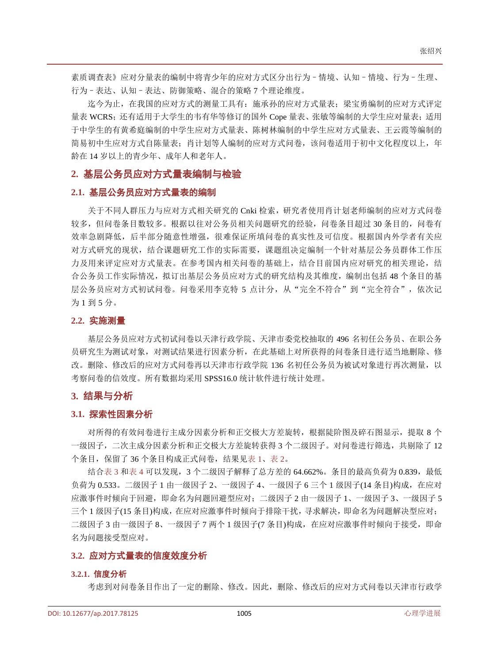素质调查表》应对分量表的编制中将青少年的应对方式区分出行为–情境、认知–情境、行为–生理、 行为–表达、认知–表达、防御策略、混合的策略 7 个理论维度。

迄今为止,在我国的应对方式的测量工具有:施承孙的应对方式量表;梁宝勇编制的应对方式评定 量表 WCRS;还有适用于大学生的韦有华等修订的国外 Cope 量表、张敏等编制的大学生应对量表;适用 于中学生的有黄希庭编制的中学生应对方式量表、陈树林编制的中学生应对方式量表、王云霞等编制的 简易初中生应对方式自陈量表;肖计划等人编制的应对方式问卷,该问卷适用于初中文化程度以上,年 龄在 14 岁以上的青少年、成年人和老年人。

#### **2.** 基层公务员应对方式量表编制与检验

#### **2.1.** 基层公务员应对方式量表的编制

关于不同人群压力与应对方式相关研究的 Cnki 检索,研究者使用肖计划老师编制的应对方式问卷 较多,但问卷条目数较多。根据以往对公务员相关问题研究的经验,问卷条目超过 30 条目的,问卷有 效率急剧降低,后半部分随意性增强,很难保证所填问卷的真实性及可信度。根据国内外学者有关应 对方式研究的现状,结合课题研究工作的实际需要,课题组决定编制一个针对基层公务员群体工作压 力及用来评定应对方式量表。在参考国内相关问卷的基础上,结合目前国内应对研究的相关理论,结 合公务员工作实际情况,拟订出基层公务员应对方式的研究结构及其维度,编制出包括 48 个条目的基 层公务员应对方式初试问卷。问卷采用李克特 5 点计分, 从"完全不符合"到"完全符合",依次记 为 1 到 5 分。

#### **2.2.** 实施测量

基层公务员应对方式初试问卷以天津行政学院、天津市委党校抽取的 496 名初任公务员、在职公务 员研究生为测试对象,对测试结果进行因素分析,在此基础上对所获得的问卷条目进行适当地删除、修 改。删除、修改后的应对方式问卷再以天津市行政学院 136 名初任公务员为被试对象进行再次测量, 以 考察问卷的信效度。所有数据均采用 SPSS16.0 统计软件进行统计处理。

#### **3.** 结果与分析

#### **3.1.** 探索性因素分析

对所得的有效问卷进行主成分因素分析和正交极大方差旋转,根据陡阶图及碎石图显示,提取 8 个 一级因子,二次主成分因素分析和正交极大方差旋转获得 3 个二级因子。对问卷进行筛选,共剔除了 12 个条目,保留了 36 个条目构成正式问卷,结果[见表](#page-3-0) 1[、表](#page-3-1) 2。

结[合表](#page-4-0) 3 [和表](#page-4-1) 4 可以发现, 3 个二级因子解释了总方差的 64.662%。条目的最高负荷为 0.839, 最低 负荷为 0.533。二级因子 1 由一级因子 2、一级因子 4、一级因子 6 三个 1 级因子(14 条目)构成,在应对 应激事件时倾向于回避,即命名为问题回避型应对;二级因子 2 由一级因子 1、一级因子 3、一级因子 5 三个 1 级因子(15 条目)构成,在应对应激事件时倾向于排除干扰,寻求解决,即命名为问题解决型应对; 二级因子 3 由一级因子 8、一级因子 7 两个 1 级因子(7 条目)构成,在应对应激事件时倾向于接受,即命 名为问题接受型应对。

#### **3.2.** 应对方式量表的信度效度分析

#### **3.2.1.** 信度分析

考虑到对问卷条目作出了一定的删除、修改。因此,删除、修改后的应对方式问卷以天津市行政学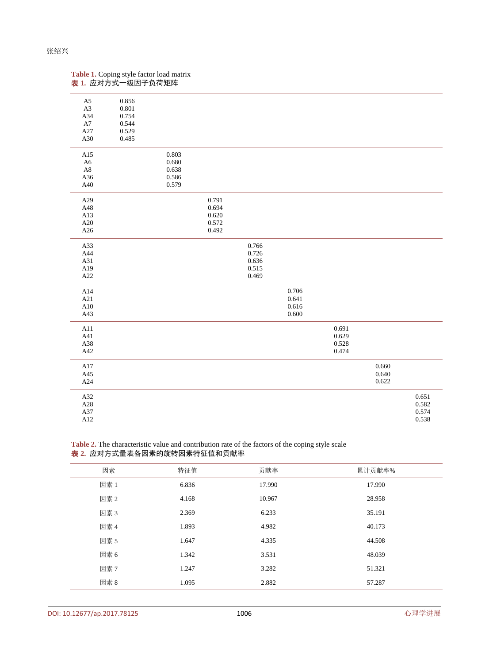<span id="page-3-0"></span>

| Table 1. Coping style factor load matrix<br>表 1. 应对方式一级因子负荷矩阵 |       |       |       |       |       |       |       |       |
|---------------------------------------------------------------|-------|-------|-------|-------|-------|-------|-------|-------|
| A5                                                            | 0.856 |       |       |       |       |       |       |       |
| $\rm A3$                                                      | 0.801 |       |       |       |       |       |       |       |
| A34                                                           | 0.754 |       |       |       |       |       |       |       |
| ${\rm A}7$                                                    | 0.544 |       |       |       |       |       |       |       |
| A27                                                           | 0.529 |       |       |       |       |       |       |       |
| A30                                                           | 0.485 |       |       |       |       |       |       |       |
| A15                                                           |       | 0.803 |       |       |       |       |       |       |
| A6                                                            |       | 0.680 |       |       |       |       |       |       |
| $\rm A8$                                                      |       | 0.638 |       |       |       |       |       |       |
| A36                                                           |       | 0.586 |       |       |       |       |       |       |
| A40                                                           |       | 0.579 |       |       |       |       |       |       |
| A29                                                           |       |       | 0.791 |       |       |       |       |       |
| A48                                                           |       |       | 0.694 |       |       |       |       |       |
| A13                                                           |       |       | 0.620 |       |       |       |       |       |
| A20                                                           |       |       | 0.572 |       |       |       |       |       |
| A26                                                           |       |       | 0.492 |       |       |       |       |       |
| A33                                                           |       |       |       | 0.766 |       |       |       |       |
| A44                                                           |       |       |       | 0.726 |       |       |       |       |
| A31                                                           |       |       |       | 0.636 |       |       |       |       |
| A19                                                           |       |       |       | 0.515 |       |       |       |       |
| A22                                                           |       |       |       | 0.469 |       |       |       |       |
| A14                                                           |       |       |       |       | 0.706 |       |       |       |
| A21                                                           |       |       |       |       | 0.641 |       |       |       |
| A10                                                           |       |       |       |       | 0.616 |       |       |       |
| A43                                                           |       |       |       |       | 0.600 |       |       |       |
| A11                                                           |       |       |       |       |       | 0.691 |       |       |
| A41                                                           |       |       |       |       |       | 0.629 |       |       |
| A38                                                           |       |       |       |       |       | 0.528 |       |       |
| A42                                                           |       |       |       |       |       | 0.474 |       |       |
| A17                                                           |       |       |       |       |       |       | 0.660 |       |
| $\rm A45$                                                     |       |       |       |       |       |       | 0.640 |       |
| A24                                                           |       |       |       |       |       |       | 0.622 |       |
| A32                                                           |       |       |       |       |       |       |       | 0.651 |
| $\rm A28$                                                     |       |       |       |       |       |       |       | 0.582 |
| A37                                                           |       |       |       |       |       |       |       | 0.574 |
| A12                                                           |       |       |       |       |       |       |       | 0.538 |

<span id="page-3-1"></span>**Table 2.** The characteristic value and contribution rate of the factors of the coping style scale 表 **2.** 应对方式量表各因素的旋转因素特征值和贡献率

| 因素   | 特征值   | 贡献率    | 累计贡献率% |
|------|-------|--------|--------|
| 因素 1 | 6.836 | 17.990 | 17.990 |
| 因素 2 | 4.168 | 10.967 | 28.958 |
| 因素3  | 2.369 | 6.233  | 35.191 |
| 因素 4 | 1.893 | 4.982  | 40.173 |
| 因素 5 | 1.647 | 4.335  | 44.508 |
| 因素 6 | 1.342 | 3.531  | 48.039 |
| 因素 7 | 1.247 | 3.282  | 51.321 |
| 因素 8 | 1.095 | 2.882  | 57.287 |
|      |       |        |        |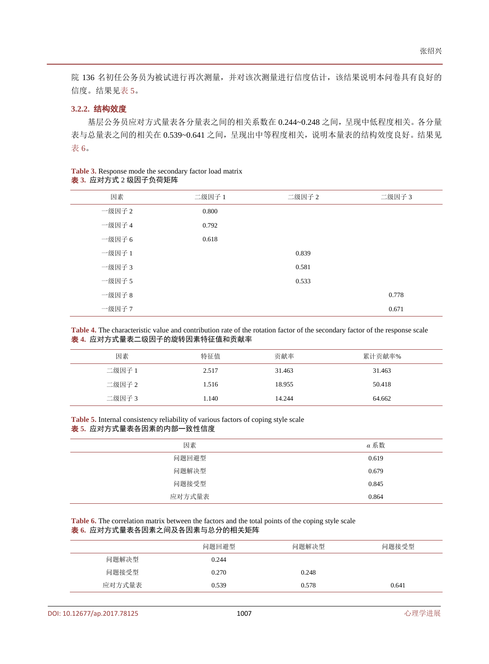院 136 名初任公务员为被试进行再次测量,并对该次测量进行信度估计,该结果说明本问卷具有良好的 信度。结果[见表](#page-4-2) 5。

#### **3.2.2.** 结构效度

基层公务员应对方式量表各分量表之间的相关系数在 0.244~0.248 之间,呈现中低程度相关。各分量 表与总量表之间的相关在 0.539~0.641 之间,呈现出中等程度相关,说明本量表的结构效度良好。结果见 [表](#page-4-3) 6。

<span id="page-4-0"></span>

| <b>Table 3.</b> Response mode the secondary factor load matrix |  |
|----------------------------------------------------------------|--|
| 表 3. 应对方式 2 级因子负荷矩阵                                            |  |

| 因素     | 二级因子 1 | 二级因子 2 | 二级因子 3 |
|--------|--------|--------|--------|
| 一级因子 2 | 0.800  |        |        |
| 一级因子 4 | 0.792  |        |        |
| 一级因子 6 | 0.618  |        |        |
| 一级因子 1 |        | 0.839  |        |
| 一级因子 3 |        | 0.581  |        |
| 一级因子 5 |        | 0.533  |        |
| 一级因子 8 |        |        | 0.778  |
| 一级因子 7 |        |        | 0.671  |

<span id="page-4-1"></span>**Table 4.** The characteristic value and contribution rate of the rotation factor of the secondary factor of the response scale 表 **4.** 应对方式量表二级因子的旋转因素特征值和贡献率

| 因素     | 特征值   | 贡献率    | 累计贡献率% |
|--------|-------|--------|--------|
| 二级因子 1 | 2.517 | 31.463 | 31.463 |
| 二级因子 2 | 1.516 | 18.955 | 50.418 |
| 二级因子 3 | 1.140 | 14.244 | 64.662 |

<span id="page-4-2"></span>**Table 5.** Internal consistency reliability of various factors of coping style scale 表 **5.** 应对方式量表各因素的内部一致性信度

| 因素     | α 系数  |
|--------|-------|
| 问题回避型  | 0.619 |
| 问题解决型  | 0.679 |
| 问题接受型  | 0.845 |
| 应对方式量表 | 0.864 |

<span id="page-4-3"></span>**Table 6.** The correlation matrix between the factors and the total points of the coping style scale 表 **6.** 应对方式量表各因素之间及各因素与总分的相关矩阵

|        | 问题回避型 | 问题解决型 | 问题接受型 |
|--------|-------|-------|-------|
| 问题解决型  | 0.244 |       |       |
| 问题接受型  | 0.270 | 0.248 |       |
| 应对方式量表 | 0.539 | 0.578 | 0.641 |